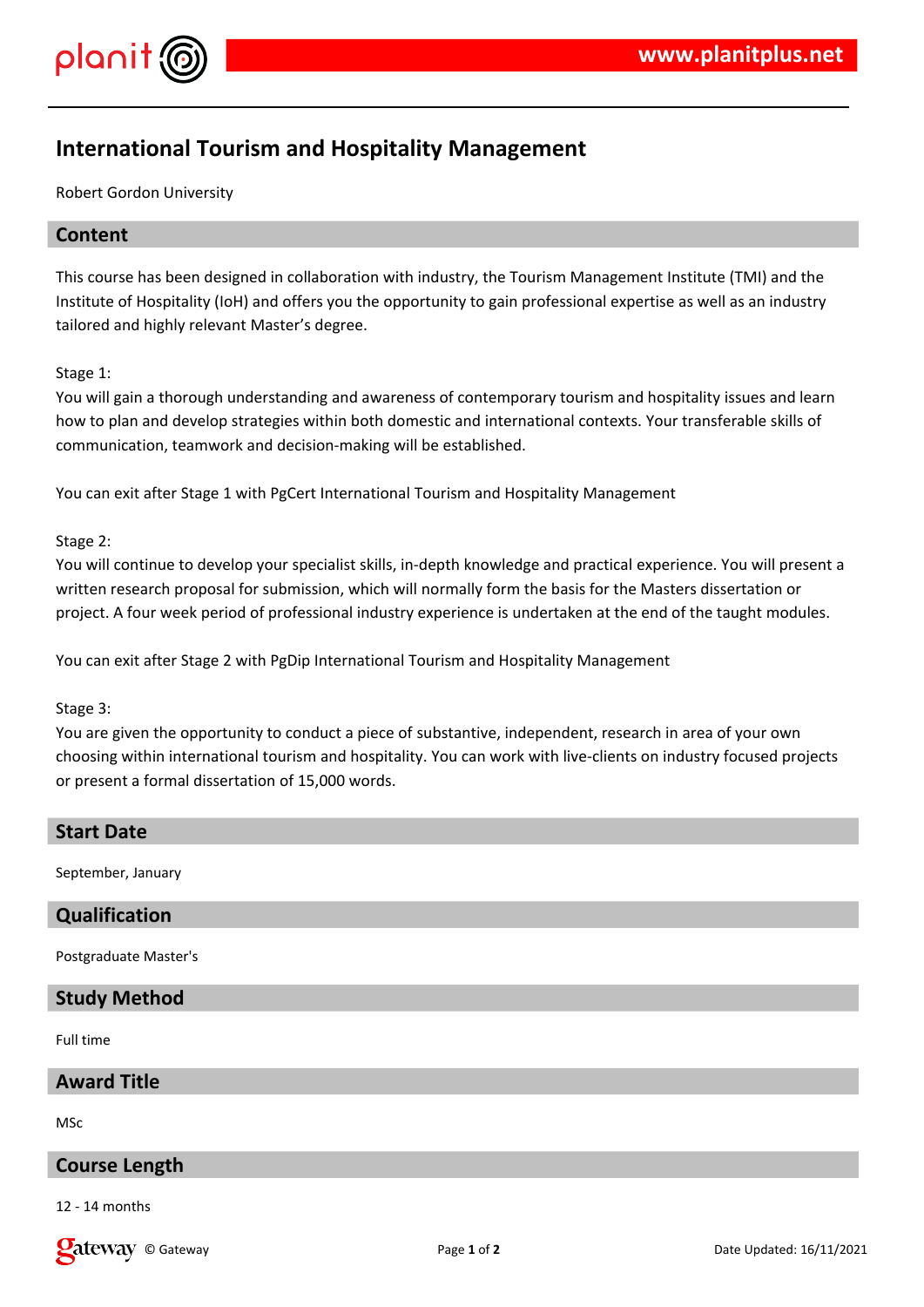

# **International Tourism and Hospitality Management**

Robert Gordon University

# **Content**

This course has been designed in collaboration with industry, the Tourism Management Institute (TMI) and the Institute of Hospitality (IoH) and offers you the opportunity to gain professional expertise as well as an industry tailored and highly relevant Master's degree.

Stage 1:

You will gain a thorough understanding and awareness of contemporary tourism and hospitality issues and learn how to plan and develop strategies within both domestic and international contexts. Your transferable skills of communication, teamwork and decision-making will be established.

You can exit after Stage 1 with PgCert International Tourism and Hospitality Management

Stage 2:

You will continue to develop your specialist skills, in-depth knowledge and practical experience. You will present a written research proposal for submission, which will normally form the basis for the Masters dissertation or project. A four week period of professional industry experience is undertaken at the end of the taught modules.

You can exit after Stage 2 with PgDip International Tourism and Hospitality Management

Stage 3:

You are given the opportunity to conduct a piece of substantive, independent, research in area of your own choosing within international tourism and hospitality. You can work with live-clients on industry focused projects or present a formal dissertation of 15,000 words.

#### **Start Date**

September, January

#### **Qualification**

Postgraduate Master's

# **Study Method**

Full time

**Award Title**

MSc

# **Course Length**

12 - 14 months